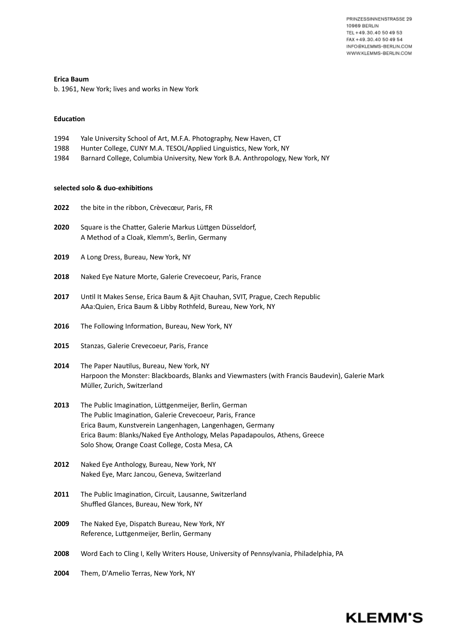**Erica Baum**

b. 1961, New York; lives and works in New York

#### **Education**

| 1994 | Yale University School of Art, M.F.A. Photography, New Haven, CT |
|------|------------------------------------------------------------------|
|------|------------------------------------------------------------------|

- 1988 Hunter College, CUNY M.A. TESOL/Applied Linguistics, New York, NY
- 1984 Barnard College, Columbia University, New York B.A. Anthropology, New York, NY

### **selected solo & duo-exhibitions**

| 2022 | the bite in the ribbon, Crèvecœur, Paris, FR |  |
|------|----------------------------------------------|--|
|      |                                              |  |

- **2020** Square is the Chatter, Galerie Markus Lüttgen Düsseldorf, A Method of a Cloak, Klemm's, Berlin, Germany
- **2019** A Long Dress, Bureau, New York, NY
- **2018** Naked Eye Nature Morte, Galerie Crevecoeur, Paris, France
- **2017** Until It Makes Sense, Erica Baum & Ajit Chauhan, SVIT, Prague, Czech Republic AAa:Quien, Erica Baum & Libby Rothfeld, Bureau, New York, NY
- **2016** The Following Information, Bureau, New York, NY
- **2015** Stanzas, Galerie Crevecoeur, Paris, France
- **2014** The Paper Nautilus, Bureau, New York, NY Harpoon the Monster: Blackboards, Blanks and Viewmasters (with Francis Baudevin), Galerie Mark Müller, Zurich, Switzerland
- **2013** The Public Imagination, Lüttgenmeijer, Berlin, German The Public Imagination, Galerie Crevecoeur, Paris, France Erica Baum, Kunstverein Langenhagen, Langenhagen, Germany Erica Baum: Blanks/Naked Eye Anthology, Melas Papadapoulos, Athens, Greece Solo Show, Orange Coast College, Costa Mesa, CA
- **2012** Naked Eye Anthology, Bureau, New York, NY Naked Eye, Marc Jancou, Geneva, Switzerland
- **2011** The Public Imagination, Circuit, Lausanne, Switzerland Shuffled Glances, Bureau, New York, NY
- **2009** The Naked Eye, Dispatch Bureau, New York, NY Reference, Luttgenmeijer, Berlin, Germany
- **2008** Word Each to Cling I, Kelly Writers House, University of Pennsylvania, Philadelphia, PA
- **2004** Them, D'Amelio Terras, New York, NY

# **KLEMM'S**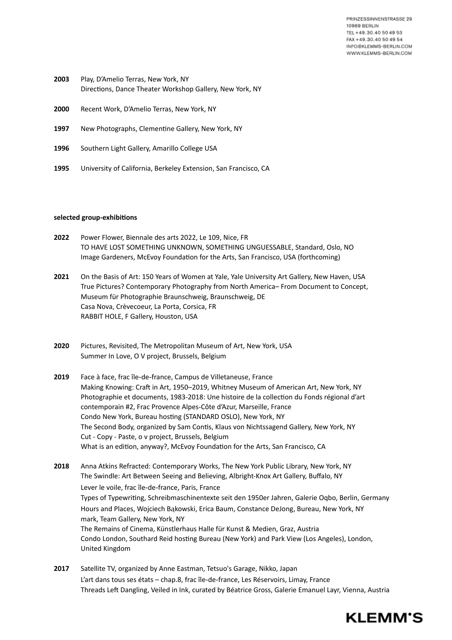- **2003** Play, D'Amelio Terras, New York, NY Directions, Dance Theater Workshop Gallery, New York, NY
- **2000** Recent Work, D'Amelio Terras, New York, NY
- **1997** New Photographs, Clementine Gallery, New York, NY
- **1996** Southern Light Gallery, Amarillo College USA
- **1995** University of California, Berkeley Extension, San Francisco, CA

#### **selected group-exhibitions**

- **2022** Power Flower, Biennale des arts 2022, Le 109, Nice, FR TO HAVE LOST SOMETHING UNKNOWN, SOMETHING UNGUESSABLE, Standard, Oslo, NO Image Gardeners, McEvoy Foundation for the Arts, San Francisco, USA (forthcoming)
- **2021** On the Basis of Art: 150 Years of Women at Yale, Yale University Art Gallery, New Haven, USA True Pictures? Contemporary Photography from North America– From Document to Concept, Museum für Photographie Braunschweig, Braunschweig, DE Casa Nova, Crèvecoeur, La Porta, Corsica, FR RABBIT HOLE, F Gallery, Houston, USA
- **2020** Pictures, Revisited, The Metropolitan Museum of Art, New York, USA Summer In Love, O V project, Brussels, Belgium
- **2019** Face à face, frac île‑de‑france, Campus de Villetaneuse, France Making Knowing: Craft in Art, 1950–2019, Whitney Museum of American Art, New York, NY Photographie et documents, 1983-2018: Une histoire de la collection du Fonds régional d'art contemporain #2, Frac Provence Alpes-Côte d'Azur, Marseille, France Condo New York, Bureau hosting (STANDARD OSLO), New York, NY The Second Body, organized by Sam Contis, Klaus von Nichtssagend Gallery, New York, NY Cut - Copy - Paste, o v project, Brussels, Belgium What is an edition, anyway?, McEvoy Foundation for the Arts, San Francisco, CA
- **2018** Anna Atkins Refracted: Contemporary Works, The New York Public Library, New York, NY The Swindle: Art Between Seeing and Believing, Albright-Knox Art Gallery, Buffalo, NY Lever le voile, frac île-de-france, Paris, France Types of Typewriting, Schreibmaschinentexte seit den 1950er Jahren, Galerie Oqbo, Berlin, Germany Hours and Places, Wojciech Bąkowski, Erica Baum, Constance DeJong, Bureau, New York, NY mark, Team Gallery, New York, NY The Remains of Cinema, Künstlerhaus Halle für Kunst & Medien, Graz, Austria Condo London, Southard Reid hosting Bureau (New York) and Park View (Los Angeles), London, United Kingdom
- **2017** Satellite TV, organized by Anne Eastman, Tetsuo's Garage, Nikko, Japan L'art dans tous ses états – chap.8, frac île‑de‑france, Les Réservoirs, Limay, France Threads Left Dangling, Veiled in Ink, curated by Béatrice Gross, Galerie Emanuel Layr, Vienna, Austria

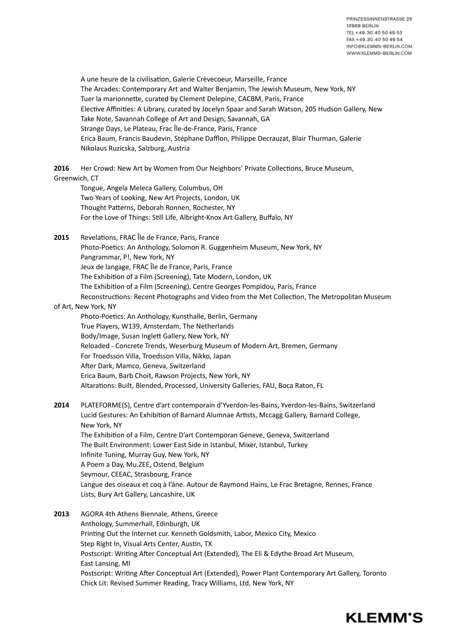A une heure de la civilisation, Galerie Crèvecoeur, Marseille, France The Arcades: Contemporary Art and Walter Benjamin, The Jewish Museum, New York, NY Tuer la marionnette, curated by Clement Delepine, CACBM, Paris, France Elective Affinities: A Library, curated by Jocelyn Spaar and Sarah Watson, 205 Hudson Gallery, New Take Note, Savannah College of Art and Design, Savannah, GA Strange Days, Le Plateau, Frac Île-de-France, Paris, France Erica Baum, Francis Baudevin, Stéphane Dafflon, Philippe Decrauzat, Blair Thurman, Galerie Nikolaus Ruzicska, Salzburg, Austria

**2016** Her Crowd: New Art by Women from Our Neighbors' Private Collections, Bruce Museum, Greenwich, CT

- Tongue, Angela Meleca Gallery, Columbus, OH Two Years of Looking, New Art Projects, London, UK Thought Patterns, Deborah Ronnen, Rochester, NY For the Love of Things: Still Life, Albright-Knox Art Gallery, Buffalo, NY
- **2015** Revelations, FRAC Île de France, Paris, France Photo-Poetics: An Anthology, Solomon R. Guggenheim Museum, New York, NY Pangrammar, P!, New York, NY Jeux de langage, FRAC Île de France, Paris, France The Exhibition of a Film (Screening), Tate Modern, London, UK The Exhibition of a Film (Screening), Centre Georges Pompidou, Paris, France Reconstructions: Recent Photographs and Video from the Met Collection, The Metropolitan Museum

### of Art, New York, NY

Photo-Poetics: An Anthology, Kunsthalle, Berlin, Germany True Players, W139, Amsterdam, The Netherlands Body/Image, Susan Inglett Gallery, New York, NY Reloaded - Concrete Trends, Weserburg Museum of Modern Art, Bremen, Germany For Troedsson Villa, Troedsson Villa, Nikko, Japan After Dark, Mamco, Geneva, Switzerland Erica Baum, Barb Choit, Rawson Projects, New York, NY Altarations: Built, Blended, Processed, University Galleries, FAU, Boca Raton, FL

## **2014** PLATEFORME(S), Centre d'art contemporain d'Yverdon-les-Bains, Yverdon-les-Bains, Switzerland Lucid Gestures: An Exhibition of Barnard Alumnae Artists, Mccagg Gallery, Barnard College, New York, NY The Exhibition of a Film, Centre D'art Contemporan Geneve, Geneva, Switzerland The Built Environment: Lower East Side in Istanbul, Mixer, Istanbul, Turkey Infinite Tuning, Murray Guy, New York, NY A Poem a Day, Mu.ZEE, Ostend, Belgium

- Seymour, CEEAC, Strasbourg, France Langue des oiseaux et coq à l'âne. Autour de Raymond Hains, Le Frac Bretagne, Rennes, France Lists, Bury Art Gallery, Lancashire, UK
- **2013** AGORA 4th Athens Biennale, Athens, Greece Anthology, Summerhall, Edinburgh, UK Printing Out the Internet cur. Kenneth Goldsmith, Labor, Mexico City, Mexico Step Right In, Visual Arts Center, Austin, TX Postscript: Writing After Conceptual Art (Extended), The Eli & Edythe Broad Art Museum, East Lansing, MI Postscript: Writing After Conceptual Art (Extended), Power Plant Contemporary Art Gallery, Toronto Chick Lit: Revised Summer Reading, Tracy Williams, Ltd, New York, NY

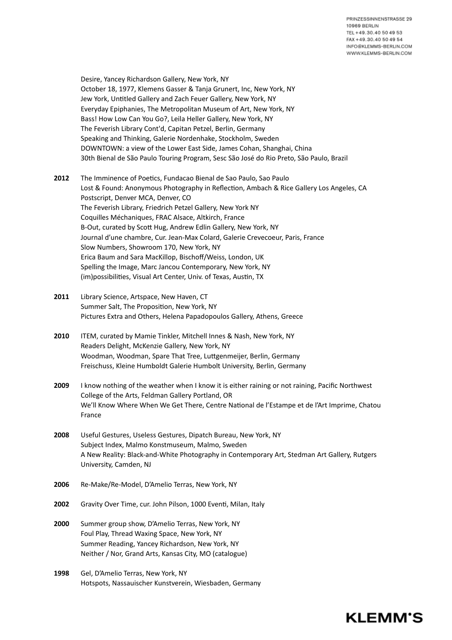**KLEMM'S** 

Desire, Yancey Richardson Gallery, New York, NY October 18, 1977, Klemens Gasser & Tanja Grunert, Inc, New York, NY Jew York, Untitled Gallery and Zach Feuer Gallery, New York, NY Everyday Epiphanies, The Metropolitan Museum of Art, New York, NY Bass! How Low Can You Go?, Leila Heller Gallery, New York, NY The Feverish Library Cont'd, Capitan Petzel, Berlin, Germany Speaking and Thinking, Galerie Nordenhake, Stockholm, Sweden DOWNTOWN: a view of the Lower East Side, James Cohan, Shanghai, China 30th Bienal de São Paulo Touring Program, Sesc São José do Rio Preto, São Paulo, Brazil

**2012** The Imminence of Poetics, Fundacao Bienal de Sao Paulo, Sao Paulo Lost & Found: Anonymous Photography in Reflection, Ambach & Rice Gallery Los Angeles, CA Postscript, Denver MCA, Denver, CO The Feverish Library, Friedrich Petzel Gallery, New York NY Coquilles Méchaniques, FRAC Alsace, Altkirch, France B-Out, curated by Scott Hug, Andrew Edlin Gallery, New York, NY Journal d'une chambre, Cur. Jean-Max Colard, Galerie Crevecoeur, Paris, France Slow Numbers, Showroom 170, New York, NY Erica Baum and Sara MacKillop, Bischoff/Weiss, London, UK Spelling the Image, Marc Jancou Contemporary, New York, NY (im)possibilities, Visual Art Center, Univ. of Texas, Austin, TX

- **2011** Library Science, Artspace, New Haven, CT Summer Salt, The Proposition, New York, NY Pictures Extra and Others, Helena Papadopoulos Gallery, Athens, Greece
- **2010** ITEM, curated by Mamie Tinkler, Mitchell Innes & Nash, New York, NY Readers Delight, McKenzie Gallery, New York, NY Woodman, Woodman, Spare That Tree, Luttgenmeijer, Berlin, Germany Freischuss, Kleine Humboldt Galerie Humbolt University, Berlin, Germany
- **2009** I know nothing of the weather when I know it is either raining or not raining, Pacific Northwest College of the Arts, Feldman Gallery Portland, OR We'll Know Where When We Get There, Centre National de l'Estampe et de l'Art Imprime, Chatou France
- **2008** Useful Gestures, Useless Gestures, Dipatch Bureau, New York, NY Subject Index, Malmo Konstmuseum, Malmo, Sweden A New Reality: Black-and-White Photography in Contemporary Art, Stedman Art Gallery, Rutgers University, Camden, NJ
- **2006** Re-Make/Re-Model, D'Amelio Terras, New York, NY
- **2002** Gravity Over Time, cur. John Pilson, 1000 Eventi, Milan, Italy
- **2000** Summer group show, D'Amelio Terras, New York, NY Foul Play, Thread Waxing Space, New York, NY Summer Reading, Yancey Richardson, New York, NY Neither / Nor, Grand Arts, Kansas City, MO (catalogue)
- **1998** Gel, D'Amelio Terras, New York, NY Hotspots, Nassauischer Kunstverein, Wiesbaden, Germany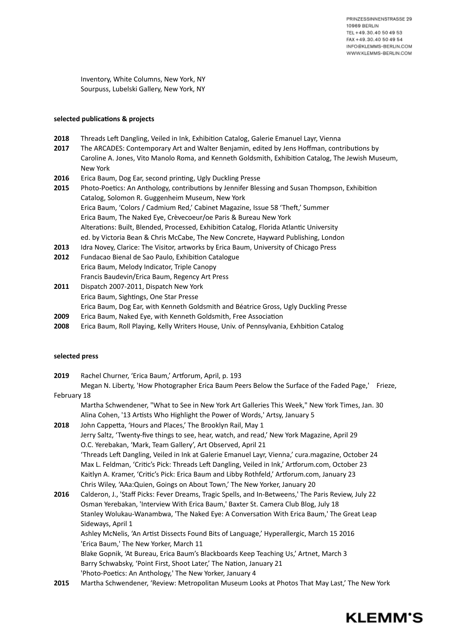Inventory, White Columns, New York, NY Sourpuss, Lubelski Gallery, New York, NY

### **selected publications & projects**

- **2018** Threads Left Dangling, Veiled in Ink, Exhibition Catalog, Galerie Emanuel Layr, Vienna
- **2017** The ARCADES: Contemporary Art and Walter Benjamin, edited by Jens Hoffman, contributions by Caroline A. Jones, Vito Manolo Roma, and Kenneth Goldsmith, Exhibition Catalog, The Jewish Museum, New York
- **2016** Erica Baum, Dog Ear, second printing, Ugly Duckling Presse
- **2015** Photo-Poetics: An Anthology, contributions by Jennifer Blessing and Susan Thompson, Exhibition Catalog, Solomon R. Guggenheim Museum, New York Erica Baum, 'Colors / Cadmium Red,' Cabinet Magazine, Issue 58 'Theft,' Summer Erica Baum, The Naked Eye, Crèvecoeur/oe Paris & Bureau New York Alterations: Built, Blended, Processed, Exhibition Catalog, Florida Atlantic University ed. by Victoria Bean & Chris McCabe, The New Concrete, Hayward Publishing, London **2013** Idra Novey, Clarice: The Visitor, artworks by Erica Baum, University of Chicago Press
- **2012** Fundacao Bienal de Sao Paulo, Exhibition Catalogue Erica Baum, Melody Indicator, Triple Canopy Francis Baudevin/Erica Baum, Regency Art Press
- **2011** Dispatch 2007-2011, Dispatch New York Erica Baum, Sightings, One Star Presse Erica Baum, Dog Ear, with Kenneth Goldsmith and Béatrice Gross, Ugly Duckling Presse
- **2009** Erica Baum, Naked Eye, with Kenneth Goldsmith, Free Association
- **2008** Erica Baum, Roll Playing, Kelly Writers House, Univ. of Pennsylvania, Exhbition Catalog

### **selected press**

| 2019 | Rachel Churner, 'Erica Baum,' Artforum, April, p. 193 |  |
|------|-------------------------------------------------------|--|
|------|-------------------------------------------------------|--|

Megan N. Liberty, 'How Photographer Erica Baum Peers Below the Surface of the Faded Page,' Frieze, February 18

Martha Schwendener, "What to See in New York Art Galleries This Week," New York Times, Jan. 30 Alina Cohen, '13 Artists Who Highlight the Power of Words,' Artsy, January 5

**2018** John Cappetta, 'Hours and Places,' The Brooklyn Rail, May 1 Jerry Saltz, 'Twenty-five things to see, hear, watch, and read,' New York Magazine, April 29 O.C. Yerebakan, 'Mark, Team Gallery', Art Observed, April 21 'Threads Left Dangling, Veiled in Ink at Galerie Emanuel Layr, Vienna,' cura.magazine, October 24 Max L. Feldman, 'Critic's Pick: Threads Left Dangling, Veiled in Ink,' Artforum.com, October 23 Kaitlyn A. Kramer, 'Critic's Pick: Erica Baum and Libby Rothfeld,' Artforum.com, January 23 Chris Wiley, 'AAa:Quien, Goings on About Town,' The New Yorker, January 20

**2016** Calderon, J., 'Staff Picks: Fever Dreams, Tragic Spells, and In-Betweens,' The Paris Review, July 22 Osman Yerebakan, 'Interview With Erica Baum,' Baxter St. Camera Club Blog, July 18 Stanley Wolukau-Wanambwa, 'The Naked Eye: A Conversation With Erica Baum,' The Great Leap Sideways, April 1 Ashley McNelis, 'An Artist Dissects Found Bits of Language,' Hyperallergic, March 15 2016 'Erica Baum,' The New Yorker, March 11 Blake Gopnik, 'At Bureau, Erica Baum's Blackboards Keep Teaching Us,' Artnet, March 3 Barry Schwabsky, 'Point First, Shoot Later,' The Nation, January 21 'Photo-Poetics: An Anthology,' The New Yorker, January 4

**2015** Martha Schwendener, 'Review: Metropolitan Museum Looks at Photos That May Last,' The New York